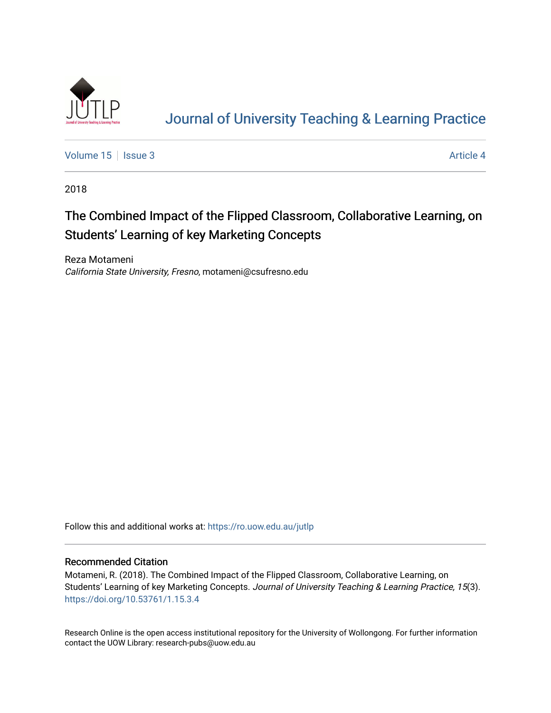

# [Journal of University Teaching & Learning Practice](https://ro.uow.edu.au/jutlp)

[Volume 15](https://ro.uow.edu.au/jutlp/vol15) | [Issue 3](https://ro.uow.edu.au/jutlp/vol15/iss3) Article 4

2018

## The Combined Impact of the Flipped Classroom, Collaborative Learning, on Students' Learning of key Marketing Concepts

Reza Motameni California State University, Fresno, motameni@csufresno.edu

Follow this and additional works at: [https://ro.uow.edu.au/jutlp](https://ro.uow.edu.au/jutlp?utm_source=ro.uow.edu.au%2Fjutlp%2Fvol15%2Fiss3%2F4&utm_medium=PDF&utm_campaign=PDFCoverPages) 

### Recommended Citation

Motameni, R. (2018). The Combined Impact of the Flipped Classroom, Collaborative Learning, on Students' Learning of key Marketing Concepts. Journal of University Teaching & Learning Practice, 15(3). <https://doi.org/10.53761/1.15.3.4>

Research Online is the open access institutional repository for the University of Wollongong. For further information contact the UOW Library: research-pubs@uow.edu.au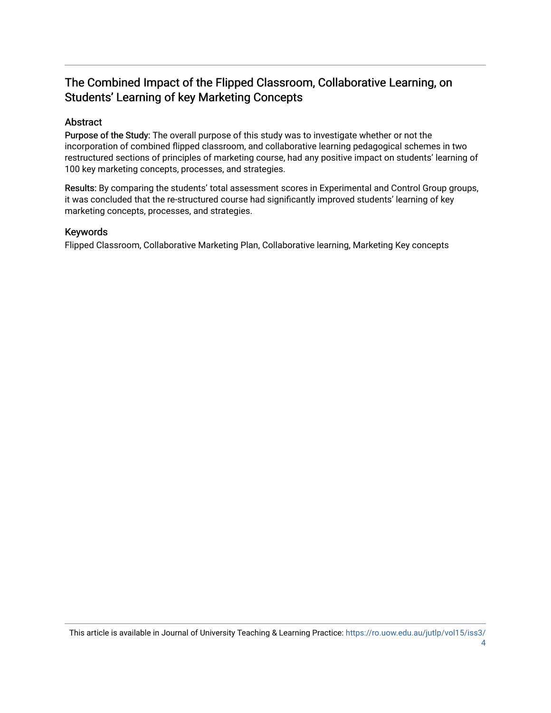## The Combined Impact of the Flipped Classroom, Collaborative Learning, on Students' Learning of key Marketing Concepts

## Abstract

Purpose of the Study: The overall purpose of this study was to investigate whether or not the incorporation of combined flipped classroom, and collaborative learning pedagogical schemes in two restructured sections of principles of marketing course, had any positive impact on students' learning of 100 key marketing concepts, processes, and strategies.

Results: By comparing the students' total assessment scores in Experimental and Control Group groups, it was concluded that the re-structured course had significantly improved students' learning of key marketing concepts, processes, and strategies.

## Keywords

Flipped Classroom, Collaborative Marketing Plan, Collaborative learning, Marketing Key concepts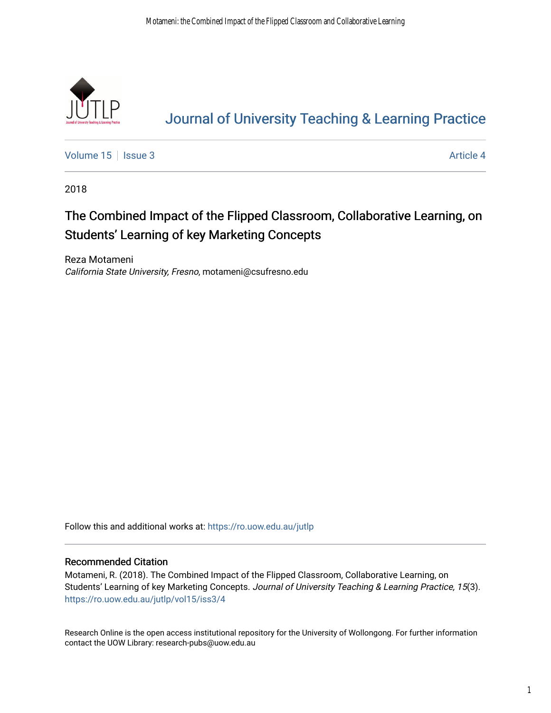

# [Journal of University Teaching & Learning Practice](https://ro.uow.edu.au/jutlp)

[Volume 15](https://ro.uow.edu.au/jutlp/vol15) | [Issue 3](https://ro.uow.edu.au/jutlp/vol15/iss3) Article 4

2018

## The Combined Impact of the Flipped Classroom, Collaborative Learning, on Students' Learning of key Marketing Concepts

Reza Motameni California State University, Fresno, motameni@csufresno.edu

Follow this and additional works at: [https://ro.uow.edu.au/jutlp](https://ro.uow.edu.au/jutlp?utm_source=ro.uow.edu.au%2Fjutlp%2Fvol15%2Fiss3%2F4&utm_medium=PDF&utm_campaign=PDFCoverPages) 

### Recommended Citation

Motameni, R. (2018). The Combined Impact of the Flipped Classroom, Collaborative Learning, on Students' Learning of key Marketing Concepts. Journal of University Teaching & Learning Practice, 15(3). [https://ro.uow.edu.au/jutlp/vol15/iss3/4](https://ro.uow.edu.au/jutlp/vol15/iss3/4?utm_source=ro.uow.edu.au%2Fjutlp%2Fvol15%2Fiss3%2F4&utm_medium=PDF&utm_campaign=PDFCoverPages) 

Research Online is the open access institutional repository for the University of Wollongong. For further information contact the UOW Library: research-pubs@uow.edu.au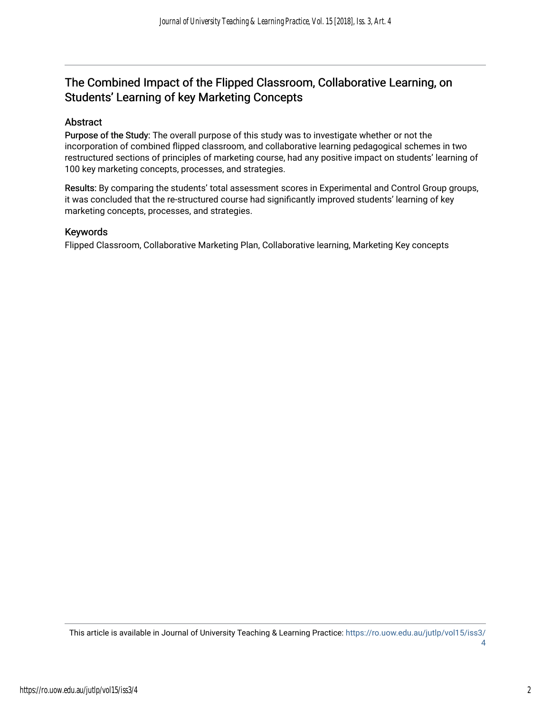## The Combined Impact of the Flipped Classroom, Collaborative Learning, on Students' Learning of key Marketing Concepts

## Abstract

Purpose of the Study: The overall purpose of this study was to investigate whether or not the incorporation of combined flipped classroom, and collaborative learning pedagogical schemes in two restructured sections of principles of marketing course, had any positive impact on students' learning of 100 key marketing concepts, processes, and strategies.

Results: By comparing the students' total assessment scores in Experimental and Control Group groups, it was concluded that the re-structured course had significantly improved students' learning of key marketing concepts, processes, and strategies.

### Keywords

Flipped Classroom, Collaborative Marketing Plan, Collaborative learning, Marketing Key concepts

This article is available in Journal of University Teaching & Learning Practice: [https://ro.uow.edu.au/jutlp/vol15/iss3/](https://ro.uow.edu.au/jutlp/vol15/iss3/4) [4](https://ro.uow.edu.au/jutlp/vol15/iss3/4)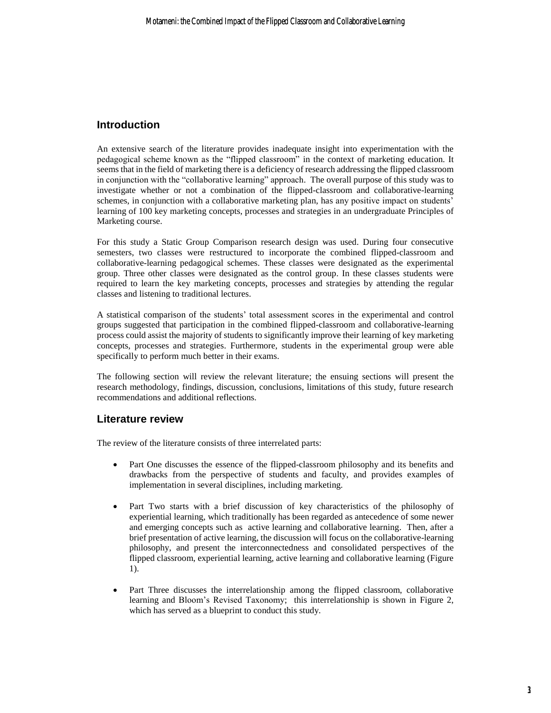## **Introduction**

An extensive search of the literature provides inadequate insight into experimentation with the pedagogical scheme known as the "flipped classroom" in the context of marketing education. It seems that in the field of marketing there is a deficiency of research addressing the flipped classroom in conjunction with the "collaborative learning" approach. The overall purpose of this study was to investigate whether or not a combination of the flipped-classroom and collaborative-learning schemes, in conjunction with a collaborative marketing plan, has any positive impact on students' learning of 100 key marketing concepts, processes and strategies in an undergraduate Principles of Marketing course.

For this study a Static Group Comparison research design was used. During four consecutive semesters, two classes were restructured to incorporate the combined flipped-classroom and collaborative-learning pedagogical schemes. These classes were designated as the experimental group. Three other classes were designated as the control group. In these classes students were required to learn the key marketing concepts, processes and strategies by attending the regular classes and listening to traditional lectures.

A statistical comparison of the students' total assessment scores in the experimental and control groups suggested that participation in the combined flipped-classroom and collaborative-learning process could assist the majority of students to significantly improve their learning of key marketing concepts, processes and strategies. Furthermore, students in the experimental group were able specifically to perform much better in their exams.

The following section will review the relevant literature; the ensuing sections will present the research methodology, findings, discussion, conclusions, limitations of this study, future research recommendations and additional reflections.

## **Literature review**

The review of the literature consists of three interrelated parts:

- Part One discusses the essence of the flipped-classroom philosophy and its benefits and drawbacks from the perspective of students and faculty, and provides examples of implementation in several disciplines, including marketing.
- Part Two starts with a brief discussion of key characteristics of the philosophy of experiential learning, which traditionally has been regarded as antecedence of some newer and emerging concepts such as active learning and collaborative learning. Then, after a brief presentation of active learning, the discussion will focus on the collaborative-learning philosophy, and present the interconnectedness and consolidated perspectives of the flipped classroom, experiential learning, active learning and collaborative learning (Figure 1).
- Part Three discusses the interrelationship among the flipped classroom, collaborative learning and Bloom's Revised Taxonomy; this interrelationship is shown in Figure 2, which has served as a blueprint to conduct this study.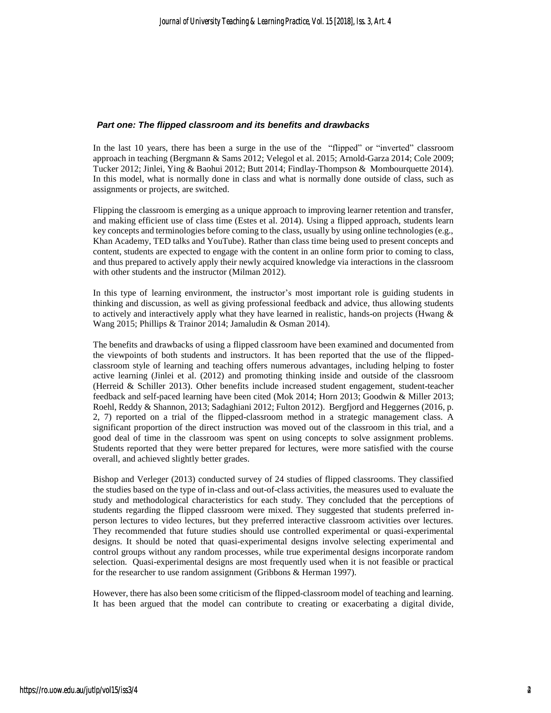#### *Part one: The flipped classroom and its benefits and drawbacks*

In the last 10 years, there has been a surge in the use of the "flipped" or "inverted" classroom approach in teaching (Bergmann & Sams 2012; Velegol et al. 2015; Arnold-Garza 2014; Cole 2009; Tucker 2012; Jinlei, Ying & Baohui 2012; Butt 2014; Findlay-Thompson & Mombourquette 2014). In this model, what is normally done in class and what is normally done outside of class, such as assignments or projects, are switched.

Flipping the classroom is emerging as a unique approach to improving learner retention and transfer, and making efficient use of class time (Estes et al. 2014). Using a flipped approach, students learn key concepts and terminologies before coming to the class, usually by using online technologies (e.g., Khan Academy, TED talks and YouTube). Rather than class time being used to present concepts and content, students are expected to engage with the content in an online form prior to coming to class, and thus prepared to actively apply their newly acquired knowledge via interactions in the classroom with other students and the instructor (Milman 2012).

In this type of learning environment, the instructor's most important role is guiding students in thinking and discussion, as well as giving professional feedback and advice, thus allowing students to actively and interactively apply what they have learned in realistic, hands-on projects (Hwang & Wang 2015; Phillips & Trainor 2014; Jamaludin & Osman 2014).

The benefits and drawbacks of using a flipped classroom have been examined and documented from the viewpoints of both students and instructors. It has been reported that the use of the flippedclassroom style of learning and teaching offers numerous advantages, including helping to foster active learning (Jinlei et al. (2012) and promoting thinking inside and outside of the classroom (Herreid & Schiller 2013). Other benefits include increased student engagement, student-teacher feedback and self-paced learning have been cited (Mok 2014; Horn 2013; Goodwin & Miller 2013; Roehl, Reddy & Shannon, 2013; Sadaghiani 2012; Fulton 2012). Bergfjord and Heggernes (2016, p. 2, 7) reported on a trial of the flipped-classroom method in a strategic management class. A significant proportion of the direct instruction was moved out of the classroom in this trial, and a good deal of time in the classroom was spent on using concepts to solve assignment problems. Students reported that they were better prepared for lectures, were more satisfied with the course overall, and achieved slightly better grades.

Bishop and Verleger (2013) conducted survey of 24 studies of flipped classrooms. They classified the studies based on the type of in-class and out-of-class activities, the measures used to evaluate the study and methodological characteristics for each study. They concluded that the perceptions of students regarding the flipped classroom were mixed. They suggested that students preferred inperson lectures to video lectures, but they preferred interactive classroom activities over lectures. They recommended that future studies should use controlled experimental or quasi-experimental designs. It should be noted that quasi-experimental designs involve selecting experimental and control groups without any random processes, while true experimental designs incorporate random selection. Quasi-experimental designs are most frequently used when it is not feasible or practical for the researcher to use random assignment (Gribbons & Herman 1997).

However, there has also been some criticism of the flipped-classroom model of teaching and learning. It has been argued that the model can contribute to creating or exacerbating a digital divide,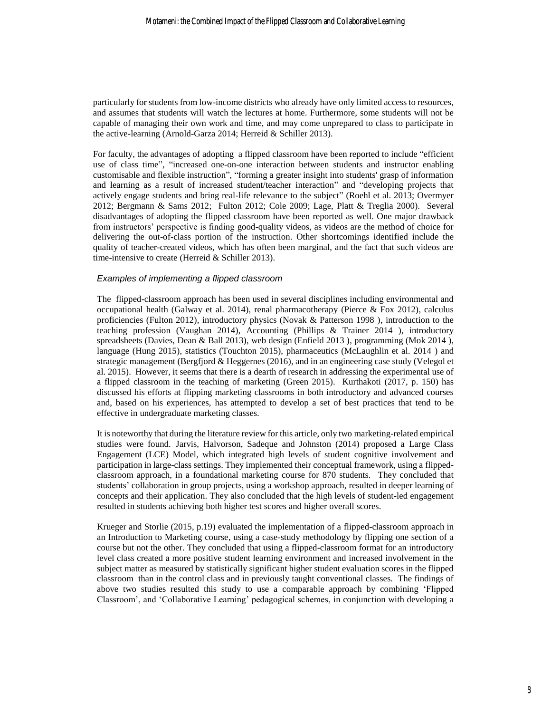particularly for students from low-income districts who already have only limited access to resources, and assumes that students will watch the lectures at home. Furthermore, some students will not be capable of managing their own work and time, and may come unprepared to class to participate in the active-learning (Arnold-Garza 2014; Herreid & Schiller 2013).

For faculty, the advantages of adopting a flipped classroom have been reported to include "efficient use of class time", "increased one-on-one interaction between students and instructor enabling customisable and flexible instruction", "forming a greater insight into students' grasp of information and learning as a result of increased student/teacher interaction" and "developing projects that actively engage students and bring real-life relevance to the subject" (Roehl et al. 2013; Overmyer 2012; Bergmann & Sams 2012; Fulton 2012; Cole 2009; Lage, Platt & Treglia 2000). Several disadvantages of adopting the flipped classroom have been reported as well. One major drawback from instructors' perspective is finding good-quality videos, as videos are the method of choice for delivering the out-of-class portion of the instruction. Other shortcomings identified include the quality of teacher-created videos, which has often been marginal, and the fact that such videos are time-intensive to create (Herreid & Schiller 2013).

#### *Examples of implementing a flipped classroom*

The flipped-classroom approach has been used in several disciplines including environmental and occupational health (Galway et al. 2014), renal pharmacotherapy (Pierce  $\&$  Fox 2012), calculus proficiencies (Fulton 2012), introductory physics (Novak & Patterson 1998 ), introduction to the teaching profession (Vaughan 2014), Accounting (Phillips & Trainer 2014 ), introductory spreadsheets (Davies, Dean & Ball 2013), web design (Enfield 2013 ), programming (Mok 2014 ), language (Hung 2015), statistics (Touchton 2015), pharmaceutics (McLaughlin et al. 2014 ) and strategic management (Bergfjord & Heggernes (2016), and in an engineering case study (Velegol et al. 2015). However, it seems that there is a dearth of research in addressing the experimental use of a flipped classroom in the teaching of marketing (Green 2015). Kurthakoti (2017, p. 150) has discussed his efforts at flipping marketing classrooms in both introductory and advanced courses and, based on his experiences, has attempted to develop a set of best practices that tend to be effective in undergraduate marketing classes.

It is noteworthy that during the literature review for this article, only two marketing-related empirical studies were found. Jarvis, Halvorson, Sadeque and Johnston (2014) proposed a Large Class Engagement (LCE) Model, which integrated high levels of student cognitive involvement and participation in large-class settings. They implemented their conceptual framework, using a flippedclassroom approach, in a foundational marketing course for 870 students. They concluded that students' collaboration in group projects, using a workshop approach, resulted in deeper learning of concepts and their application. They also concluded that the high levels of student-led engagement resulted in students achieving both higher test scores and higher overall scores.

Krueger and Storlie (2015, p.19) evaluated the implementation of a flipped-classroom approach in an Introduction to Marketing course, using a case-study methodology by flipping one section of a course but not the other. They concluded that using a flipped-classroom format for an introductory level class created a more positive student learning environment and increased involvement in the subject matter as measured by statistically significant higher student evaluation scores in the flipped classroom than in the control class and in previously taught conventional classes. The findings of above two studies resulted this study to use a comparable approach by combining 'Flipped Classroom', and 'Collaborative Learning' pedagogical schemes, in conjunction with developing a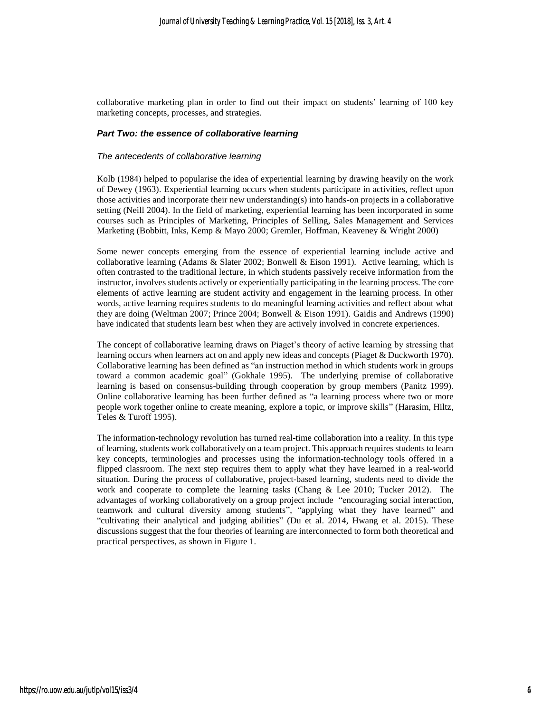collaborative marketing plan in order to find out their impact on students' learning of 100 key marketing concepts, processes, and strategies.

#### *Part Two: the essence of collaborative learning*

#### *The antecedents of collaborative learning*

Kolb (1984) helped to popularise the idea of experiential learning by drawing heavily on the work of Dewey (1963). Experiential learning occurs when students participate in activities, reflect upon those activities and incorporate their new understanding(s) into hands-on projects in a collaborative setting (Neill 2004). In the field of marketing, experiential learning has been incorporated in some courses such as Principles of Marketing, Principles of Selling, Sales Management and Services Marketing (Bobbitt, Inks, Kemp & Mayo 2000; Gremler, Hoffman, Keaveney & Wright 2000)

Some newer concepts emerging from the essence of experiential learning include active and collaborative learning (Adams & Slater 2002; Bonwell & Eison 1991). Active learning, which is often contrasted to the traditional lecture, in which students passively receive information from the instructor, involves students actively or experientially participating in the learning process. The core elements of active learning are student activity and engagement in the learning process. In other words, active learning requires students to do meaningful learning activities and reflect about what they are doing (Weltman 2007; Prince 2004; Bonwell & Eison 1991). Gaidis and Andrews (1990) have indicated that students learn best when they are actively involved in concrete experiences.

The concept of collaborative learning draws on Piaget's theory of active learning by stressing that learning occurs when learners act on and apply new ideas and concepts (Piaget & Duckworth 1970). Collaborative learning has been defined as "an instruction method in which students work in groups toward a common academic goal" (Gokhale 1995). The underlying premise of collaborative learning is based on consensus-building through cooperation by group members (Panitz 1999). Online collaborative learning has been further defined as "a learning process where two or more people work together online to create meaning, explore a topic, or improve skills" (Harasim, Hiltz, Teles & Turoff 1995).

The information-technology revolution has turned real-time collaboration into a reality. In this type of learning, students work collaboratively on a team project. This approach requires students to learn key concepts, terminologies and processes using the information-technology tools offered in a flipped classroom. The next step requires them to apply what they have learned in a real-world situation. During the process of collaborative, project-based learning, students need to divide the work and cooperate to complete the learning tasks (Chang & Lee 2010; Tucker 2012). The advantages of working collaboratively on a group project include "encouraging social interaction, teamwork and cultural diversity among students", "applying what they have learned" and "cultivating their analytical and judging abilities" (Du et al. 2014, Hwang et al. 2015). These discussions suggest that the four theories of learning are interconnected to form both theoretical and practical perspectives, as shown in Figure 1.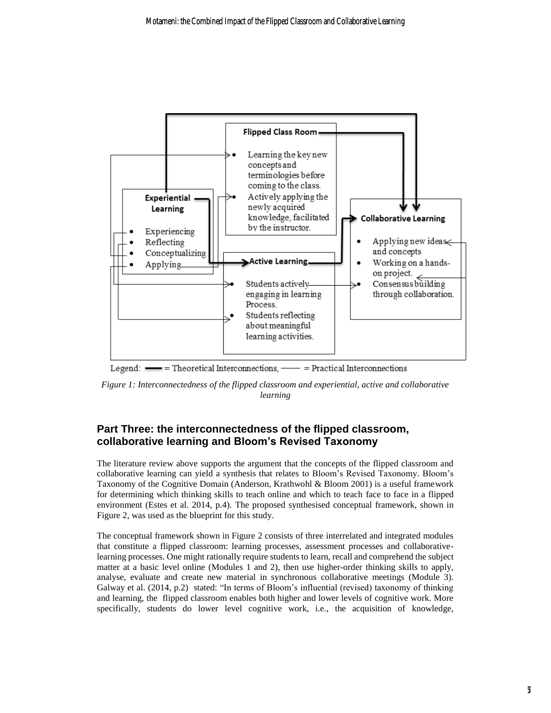

Legend:  $\equiv$  Theoretical Interconnections,  $\equiv$  Practical Interconnections

*Figure 1: Interconnectedness of the flipped classroom and experiential, active and collaborative learning*

## **Part Three: the interconnectedness of the flipped classroom, collaborative learning and Bloom's Revised Taxonomy**

The literature review above supports the argument that the concepts of the flipped classroom and collaborative learning can yield a synthesis that relates to Bloom's Revised Taxonomy. Bloom's Taxonomy of the Cognitive Domain (Anderson, Krathwohl & Bloom 2001) is a useful framework for determining which thinking skills to teach online and which to teach face to face in a flipped environment (Estes et al. 2014, p.4). The proposed synthesised conceptual framework, shown in Figure 2, was used as the blueprint for this study.

The conceptual framework shown in Figure 2 consists of three interrelated and integrated modules that constitute a flipped classroom: learning processes, assessment processes and collaborativelearning processes. One might rationally require students to learn, recall and comprehend the subject matter at a basic level online (Modules 1 and 2), then use higher-order thinking skills to apply, analyse, evaluate and create new material in synchronous collaborative meetings (Module 3). Galway et al. (2014, p.2) stated: "In terms of Bloom's influential (revised) taxonomy of thinking and learning, the flipped classroom enables both higher and lower levels of cognitive work. More specifically, students do lower level cognitive work, i.e., the acquisition of knowledge,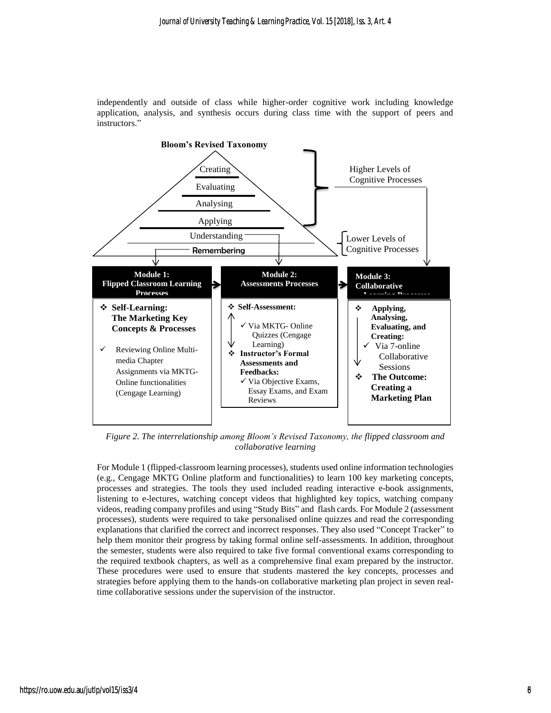independently and outside of class while higher-order cognitive work including knowledge application, analysis, and synthesis occurs during class time with the support of peers and instructors."



*Figure 2. The interrelationship among Bloom's Revised Taxonomy, the flipped classroom and collaborative learning*

For Module 1 (flipped-classroom learning processes), students used online information technologies (e.g., Cengage MKTG Online platform and functionalities) to learn 100 key marketing concepts, processes and strategies. The tools they used included reading interactive e-book assignments, listening to e-lectures, watching concept videos that highlighted key topics, watching company videos, reading company profiles and using "Study Bits" and flash cards. For Module 2 (assessment processes), students were required to take personalised online quizzes and read the corresponding explanations that clarified the correct and incorrect responses. They also used "Concept Tracker" to help them monitor their progress by taking formal online self-assessments. In addition, throughout the semester, students were also required to take five formal conventional exams corresponding to the required textbook chapters, as well as a comprehensive final exam prepared by the instructor. These procedures were used to ensure that students mastered the key concepts, processes and strategies before applying them to the hands-on collaborative marketing plan project in seven realtime collaborative sessions under the supervision of the instructor.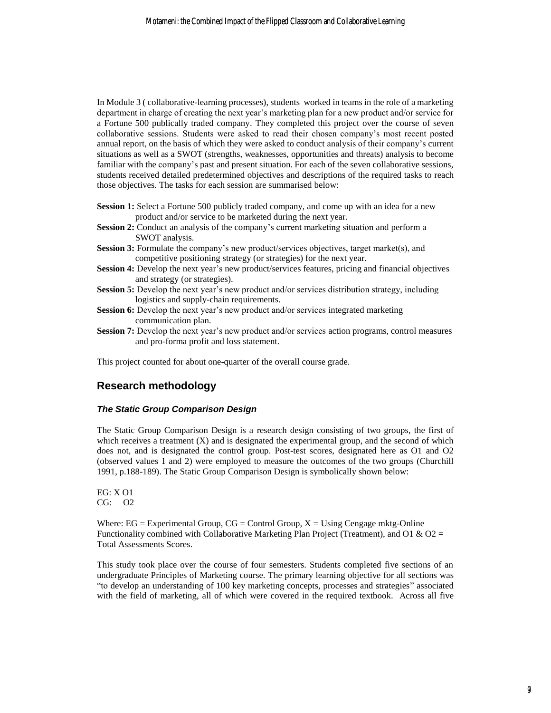In Module 3 ( collaborative-learning processes), students worked in teams in the role of a marketing department in charge of creating the next year's marketing plan for a new product and/or service for a Fortune 500 publically traded company. They completed this project over the course of seven collaborative sessions. Students were asked to read their chosen company's most recent posted annual report, on the basis of which they were asked to conduct analysis of their company's current situations as well as a SWOT (strengths, weaknesses, opportunities and threats) analysis to become familiar with the company's past and present situation. For each of the seven collaborative sessions, students received detailed predetermined objectives and descriptions of the required tasks to reach those objectives. The tasks for each session are summarised below:

- **Session 1:** Select a Fortune 500 publicly traded company, and come up with an idea for a new product and/or service to be marketed during the next year.
- **Session 2:** Conduct an analysis of the company's current marketing situation and perform a SWOT analysis.
- **Session 3:** Formulate the company's new product/services objectives, target market(s), and competitive positioning strategy (or strategies) for the next year.
- **Session 4:** Develop the next year's new product/services features, pricing and financial objectives and strategy (or strategies).
- **Session 5:** Develop the next year's new product and/or services distribution strategy, including logistics and supply-chain requirements.
- **Session 6:** Develop the next year's new product and/or services integrated marketing communication plan.
- **Session 7:** Develop the next year's new product and/or services action programs, control measures and pro-forma profit and loss statement.

This project counted for about one-quarter of the overall course grade.

## **Research methodology**

#### *The Static Group Comparison Design*

The Static Group Comparison Design is a research design consisting of two groups, the first of which receives a treatment  $(X)$  and is designated the experimental group, and the second of which does not, and is designated the control group. Post-test scores, designated here as O1 and O2 (observed values 1 and 2) were employed to measure the outcomes of the two groups (Churchill 1991, p.188-189). The Static Group Comparison Design is symbolically shown below:

EG: X O1 CG: O2

Where:  $EG = Experimental Group, CG = Control Group, X = Using Cengage mktg-Online$ Functionality combined with Collaborative Marketing Plan Project (Treatment), and O1 & O2 = Total Assessments Scores.

This study took place over the course of four semesters. Students completed five sections of an undergraduate Principles of Marketing course. The primary learning objective for all sections was "to develop an understanding of 100 key marketing concepts, processes and strategies" associated with the field of marketing, all of which were covered in the required textbook. Across all five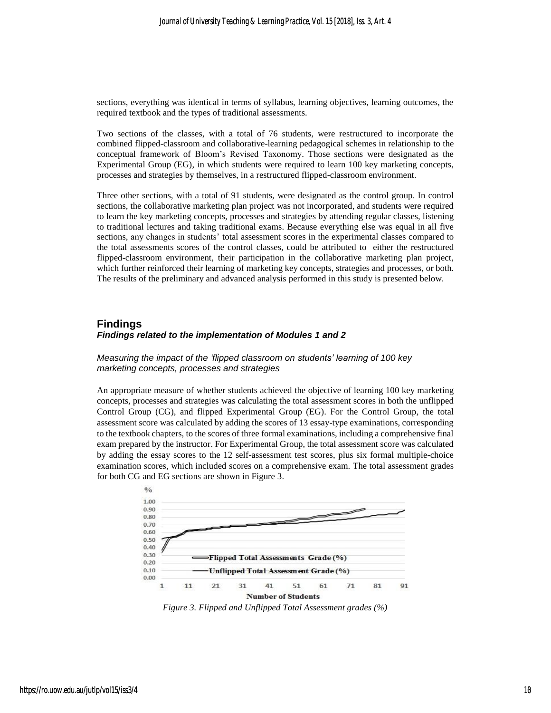sections, everything was identical in terms of syllabus, learning objectives, learning outcomes, the required textbook and the types of traditional assessments.

Two sections of the classes, with a total of 76 students, were restructured to incorporate the combined flipped-classroom and collaborative-learning pedagogical schemes in relationship to the conceptual framework of Bloom's Revised Taxonomy. Those sections were designated as the Experimental Group (EG), in which students were required to learn 100 key marketing concepts, processes and strategies by themselves, in a restructured flipped-classroom environment.

Three other sections, with a total of 91 students, were designated as the control group. In control sections, the collaborative marketing plan project was not incorporated, and students were required to learn the key marketing concepts, processes and strategies by attending regular classes, listening to traditional lectures and taking traditional exams. Because everything else was equal in all five sections, any changes in students' total assessment scores in the experimental classes compared to the total assessments scores of the control classes, could be attributed to either the restructured flipped-classroom environment, their participation in the collaborative marketing plan project, which further reinforced their learning of marketing key concepts, strategies and processes, or both. The results of the preliminary and advanced analysis performed in this study is presented below.

### **Findings** *Findings related to the implementation of Modules 1 and 2*

*Measuring the impact of the 'flipped classroom on students' learning of 100 key marketing concepts, processes and strategies*

An appropriate measure of whether students achieved the objective of learning 100 key marketing concepts, processes and strategies was calculating the total assessment scores in both the unflipped Control Group (CG), and flipped Experimental Group (EG). For the Control Group, the total assessment score was calculated by adding the scores of 13 essay-type examinations, corresponding to the textbook chapters, to the scores of three formal examinations, including a comprehensive final exam prepared by the instructor. For Experimental Group, the total assessment score was calculated by adding the essay scores to the 12 self-assessment test scores, plus six formal multiple-choice examination scores, which included scores on a comprehensive exam. The total assessment grades for both CG and EG sections are shown in Figure 3.



*Figure 3. Flipped and Unflipped Total Assessment grades (%)*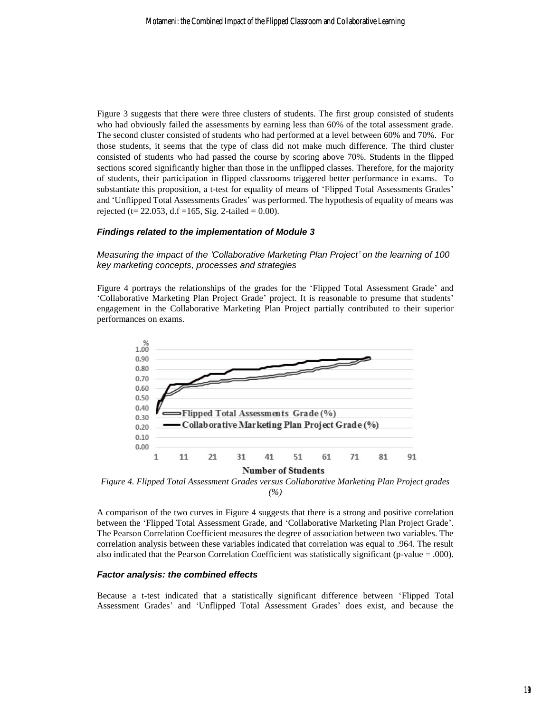Figure 3 suggests that there were three clusters of students. The first group consisted of students who had obviously failed the assessments by earning less than 60% of the total assessment grade. The second cluster consisted of students who had performed at a level between 60% and 70%. For those students, it seems that the type of class did not make much difference. The third cluster consisted of students who had passed the course by scoring above 70%. Students in the flipped sections scored significantly higher than those in the unflipped classes. Therefore, for the majority of students, their participation in flipped classrooms triggered better performance in exams. To substantiate this proposition, a t-test for equality of means of 'Flipped Total Assessments Grades' and 'Unflipped Total Assessments Grades' was performed. The hypothesis of equality of means was rejected (t= 22.053, d.f =165, Sig. 2-tailed = 0.00).

#### *Findings related to the implementation of Module 3*

*Measuring the impact of the 'Collaborative Marketing Plan Project' on the learning of 100 key marketing concepts, processes and strategies*

Figure 4 portrays the relationships of the grades for the 'Flipped Total Assessment Grade' and 'Collaborative Marketing Plan Project Grade' project. It is reasonable to presume that students' engagement in the Collaborative Marketing Plan Project partially contributed to their superior performances on exams.



*Figure 4. Flipped Total Assessment Grades versus Collaborative Marketing Plan Project grades (%)*

A comparison of the two curves in Figure 4 suggests that there is a strong and positive correlation between the 'Flipped Total Assessment Grade, and 'Collaborative Marketing Plan Project Grade'. The Pearson Correlation Coefficient measures the degree of association between two variables. The correlation analysis between these variables indicated that correlation was equal to .964. The result also indicated that the Pearson Correlation Coefficient was statistically significant (p-value = .000).

#### *Factor analysis: the combined effects*

Because a t-test indicated that a statistically significant difference between 'Flipped Total Assessment Grades' and 'Unflipped Total Assessment Grades' does exist, and because the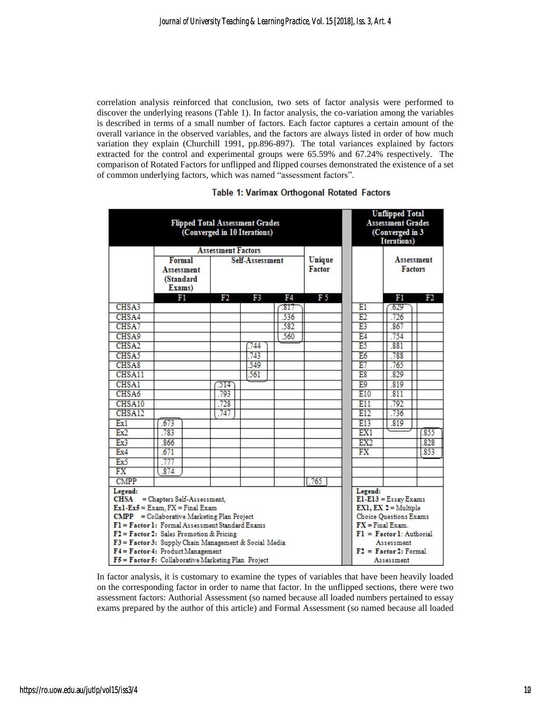correlation analysis reinforced that conclusion, two sets of factor analysis were performed to discover the underlying reasons (Table 1). In factor analysis, the co-variation among the variables is described in terms of a small number of factors. Each factor captures a certain amount of the overall variance in the observed variables, and the factors are always listed in order of how much variation they explain (Churchill 1991, pp.896-897). The total variances explained by factors extracted for the control and experimental groups were 65.59% and 67.24% respectively. The comparison of Rotated Factors for unflipped and flipped courses demonstrated the existence of a set of common underlying factors, which was named "assessment factors".

| <b>Flipped Total Assessment Grades</b><br>(Converged in 10 Iterations) |                           |      |                 |                  |               | <b>Unflipped Total</b><br><b>Assessment Grades</b><br>(Converged in 3<br><b>Iterations</b> ) |                |                   |
|------------------------------------------------------------------------|---------------------------|------|-----------------|------------------|---------------|----------------------------------------------------------------------------------------------|----------------|-------------------|
|                                                                        | <b>Assessment Factors</b> |      |                 |                  |               |                                                                                              |                |                   |
|                                                                        | Formal                    |      | Self-Assessment |                  |               |                                                                                              |                | <b>Assessment</b> |
|                                                                        | <b>Assessment</b>         |      |                 |                  | <b>Factor</b> |                                                                                              | <b>Factors</b> |                   |
|                                                                        | (Standard                 |      |                 |                  |               |                                                                                              |                |                   |
|                                                                        | Exams)                    |      |                 |                  |               |                                                                                              |                |                   |
|                                                                        | Fi                        | F2   | F3              | F4               | F 5           |                                                                                              | F1             | F2                |
| CHSA3                                                                  |                           |      |                 | $\overline{317}$ |               | E1                                                                                           | $\sqrt{629}$   |                   |
| CHSA4                                                                  |                           |      |                 | .536             |               | E2                                                                                           | .726           |                   |
| CHSA7                                                                  |                           |      |                 | .582             |               | E3                                                                                           | .867           |                   |
| CHSA9                                                                  |                           |      |                 | 560              |               | E4                                                                                           | .754           |                   |
| CHSA <sub>2</sub>                                                      |                           |      | 744             |                  |               | E5                                                                                           | 881            |                   |
| CHSA5                                                                  |                           |      | 743             |                  |               | E6                                                                                           | .788           |                   |
| CHSA <sub>8</sub>                                                      |                           |      | 549             |                  |               | E7                                                                                           | 765            |                   |
| CHSA11                                                                 |                           |      | .561            |                  |               | E8                                                                                           | .829           |                   |
| CHSA1                                                                  |                           | 214  |                 |                  |               | E9                                                                                           | .819           |                   |
| CHSA6                                                                  |                           | .793 |                 |                  |               | E10                                                                                          | .811           |                   |
| CHSA10                                                                 |                           | 728  |                 |                  |               | E11                                                                                          | 792            |                   |
| CHSA12                                                                 |                           | .747 |                 |                  |               | E12                                                                                          | .736           |                   |
| Ex1                                                                    | .673                      |      |                 |                  |               | E13                                                                                          | .819           |                   |
| Ex2                                                                    | .783                      |      |                 |                  |               | EX1                                                                                          |                | (855              |
| Ex3                                                                    | .866                      |      |                 |                  |               | EX2                                                                                          |                | .828              |
| Ex4                                                                    | .671                      |      |                 |                  |               | FX                                                                                           |                | .853              |
| Ex5                                                                    | .777                      |      |                 |                  |               |                                                                                              |                |                   |
| FX                                                                     | .874                      |      |                 |                  |               |                                                                                              |                |                   |
| <b>CMPP</b>                                                            |                           |      |                 |                  | .765          |                                                                                              |                |                   |
| Legend:<br>= Chapters Self-Assessment.<br>CHSA                         |                           |      |                 |                  |               | Legend:<br>$E1-E13 = E$ ssay Exams                                                           |                |                   |
| $Ex1-Ex5 = Exam, FX = Final Exam$                                      |                           |      |                 |                  |               | EX1, EX $2 =$ Multiple                                                                       |                |                   |
| <b>CMPP</b> = Collaborative Marketing Plan Project                     |                           |      |                 |                  |               | <b>Choice Ouestions Exams</b>                                                                |                |                   |
| F1 = Factor 1: Formal Assessment Standard Exams                        |                           |      |                 |                  |               | $FX = Final Exam$ .                                                                          |                |                   |
| $F2 = Factor2$ : Sales Promotion & Pricing                             |                           |      |                 |                  |               | $F1 = Factor1$ : Authorial                                                                   |                |                   |
| F3 = Factor 3: Supply Chain Management & Social Media                  |                           |      |                 |                  |               | Assessment                                                                                   |                |                   |
| $F4 = Factor 4$ : Product Management                                   |                           |      |                 |                  |               | $F2 = Factor2$ : Formal                                                                      |                |                   |
| F5 = Factor 5: Collaborative Marketing Plan Project                    |                           |      |                 |                  |               | Assessment                                                                                   |                |                   |

#### Table 1: Varimax Orthogonal Rotated Factors

In factor analysis, it is customary to examine the types of variables that have been heavily loaded on the corresponding factor in order to name that factor. In the unflipped sections, there were two assessment factors: Authorial Assessment (so named because all loaded numbers pertained to essay exams prepared by the author of this article) and Formal Assessment (so named because all loaded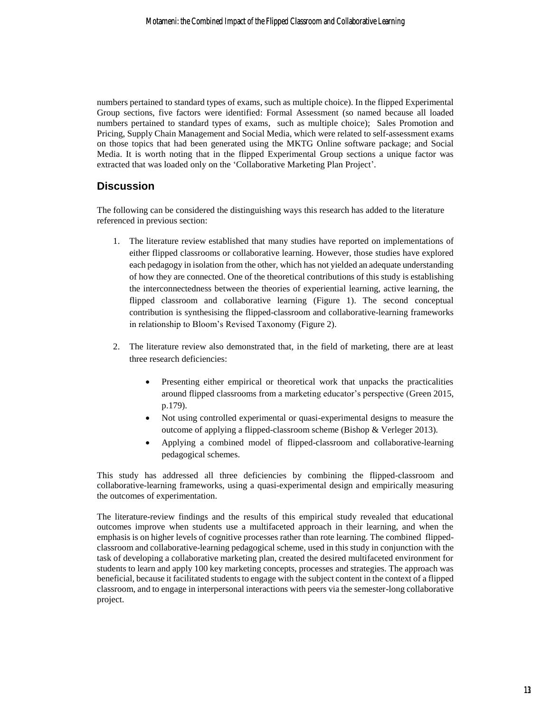numbers pertained to standard types of exams, such as multiple choice). In the flipped Experimental Group sections, five factors were identified: Formal Assessment (so named because all loaded numbers pertained to standard types of exams, such as multiple choice); Sales Promotion and Pricing, Supply Chain Management and Social Media, which were related to self-assessment exams on those topics that had been generated using the MKTG Online software package; and Social Media. It is worth noting that in the flipped Experimental Group sections a unique factor was extracted that was loaded only on the 'Collaborative Marketing Plan Project'.

## **Discussion**

The following can be considered the distinguishing ways this research has added to the literature referenced in previous section:

- 1. The literature review established that many studies have reported on implementations of either flipped classrooms or collaborative learning. However, those studies have explored each pedagogy in isolation from the other, which has not yielded an adequate understanding of how they are connected. One of the theoretical contributions of this study is establishing the interconnectedness between the theories of experiential learning, active learning, the flipped classroom and collaborative learning (Figure 1). The second conceptual contribution is synthesising the flipped-classroom and collaborative-learning frameworks in relationship to Bloom's Revised Taxonomy (Figure 2).
- 2. The literature review also demonstrated that, in the field of marketing, there are at least three research deficiencies:
	- Presenting either empirical or theoretical work that unpacks the practicalities around flipped classrooms from a marketing educator's perspective (Green 2015, p.179).
	- Not using controlled experimental or quasi-experimental designs to measure the outcome of applying a flipped-classroom scheme (Bishop & Verleger 2013).
	- Applying a combined model of flipped-classroom and collaborative-learning pedagogical schemes.

This study has addressed all three deficiencies by combining the flipped-classroom and collaborative-learning frameworks, using a quasi-experimental design and empirically measuring the outcomes of experimentation.

The literature-review findings and the results of this empirical study revealed that educational outcomes improve when students use a multifaceted approach in their learning, and when the emphasis is on higher levels of cognitive processes rather than rote learning. The combined flippedclassroom and collaborative-learning pedagogical scheme, used in this study in conjunction with the task of developing a collaborative marketing plan, created the desired multifaceted environment for students to learn and apply 100 key marketing concepts, processes and strategies. The approach was beneficial, because it facilitated students to engage with the subject content in the context of a flipped classroom, and to engage in interpersonal interactions with peers via the semester-long collaborative project.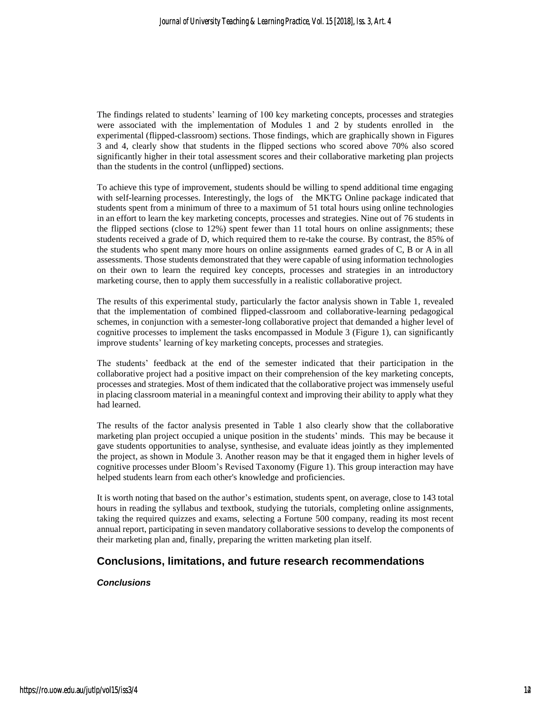The findings related to students' learning of 100 key marketing concepts, processes and strategies were associated with the implementation of Modules 1 and 2 by students enrolled in the experimental (flipped-classroom) sections. Those findings, which are graphically shown in Figures 3 and 4, clearly show that students in the flipped sections who scored above 70% also scored significantly higher in their total assessment scores and their collaborative marketing plan projects than the students in the control (unflipped) sections.

To achieve this type of improvement, students should be willing to spend additional time engaging with self-learning processes. Interestingly, the logs of the MKTG Online package indicated that students spent from a minimum of three to a maximum of 51 total hours using online technologies in an effort to learn the key marketing concepts, processes and strategies. Nine out of 76 students in the flipped sections (close to 12%) spent fewer than 11 total hours on online assignments; these students received a grade of D, which required them to re-take the course. By contrast, the 85% of the students who spent many more hours on online assignments earned grades of C, B or A in all assessments. Those students demonstrated that they were capable of using information technologies on their own to learn the required key concepts, processes and strategies in an introductory marketing course, then to apply them successfully in a realistic collaborative project.

The results of this experimental study, particularly the factor analysis shown in Table 1, revealed that the implementation of combined flipped-classroom and collaborative-learning pedagogical schemes, in conjunction with a semester-long collaborative project that demanded a higher level of cognitive processes to implement the tasks encompassed in Module 3 (Figure 1), can significantly improve students' learning of key marketing concepts, processes and strategies.

The students' feedback at the end of the semester indicated that their participation in the collaborative project had a positive impact on their comprehension of the key marketing concepts, processes and strategies. Most of them indicated that the collaborative project was immensely useful in placing classroom material in a meaningful context and improving their ability to apply what they had learned.

The results of the factor analysis presented in Table 1 also clearly show that the collaborative marketing plan project occupied a unique position in the students' minds. This may be because it gave students opportunities to analyse, synthesise, and evaluate ideas jointly as they implemented the project, as shown in Module 3. Another reason may be that it engaged them in higher levels of cognitive processes under Bloom's Revised Taxonomy (Figure 1). This group interaction may have helped students learn from each other's knowledge and proficiencies.

It is worth noting that based on the author's estimation, students spent, on average, close to 143 total hours in reading the syllabus and textbook, studying the tutorials, completing online assignments, taking the required quizzes and exams, selecting a Fortune 500 company, reading its most recent annual report, participating in seven mandatory collaborative sessions to develop the components of their marketing plan and, finally, preparing the written marketing plan itself.

## **Conclusions, limitations, and future research recommendations**

*Conclusions*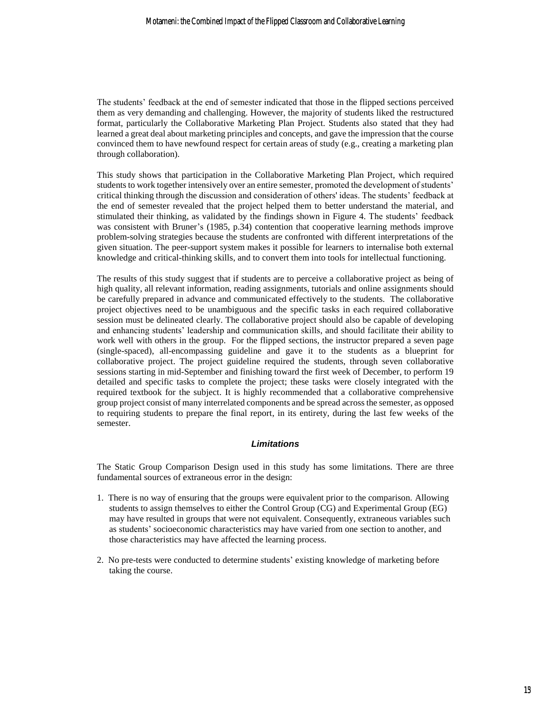The students' feedback at the end of semester indicated that those in the flipped sections perceived them as very demanding and challenging. However, the majority of students liked the restructured format, particularly the Collaborative Marketing Plan Project. Students also stated that they had learned a great deal about marketing principles and concepts, and gave the impression that the course convinced them to have newfound respect for certain areas of study (e.g., creating a marketing plan through collaboration).

This study shows that participation in the Collaborative Marketing Plan Project, which required students to work together intensively over an entire semester, promoted the development of students' critical thinking through the discussion and consideration of others' ideas. The students' feedback at the end of semester revealed that the project helped them to better understand the material, and stimulated their thinking, as validated by the findings shown in Figure 4. The students' feedback was consistent with Bruner's (1985, p.34) contention that cooperative learning methods improve problem-solving strategies because the students are confronted with different interpretations of the given situation. The peer-support system makes it possible for learners to internalise both external knowledge and critical-thinking skills, and to convert them into tools for intellectual functioning.

The results of this study suggest that if students are to perceive a collaborative project as being of high quality, all relevant information, reading assignments, tutorials and online assignments should be carefully prepared in advance and communicated effectively to the students. The collaborative project objectives need to be unambiguous and the specific tasks in each required collaborative session must be delineated clearly. The collaborative project should also be capable of developing and enhancing students' leadership and communication skills, and should facilitate their ability to work well with others in the group. For the flipped sections, the instructor prepared a seven page (single-spaced), all-encompassing guideline and gave it to the students as a blueprint for collaborative project. The project guideline required the students, through seven collaborative sessions starting in mid-September and finishing toward the first week of December, to perform 19 detailed and specific tasks to complete the project; these tasks were closely integrated with the required textbook for the subject. It is highly recommended that a collaborative comprehensive group project consist of many interrelated components and be spread acrossthe semester, as opposed to requiring students to prepare the final report, in its entirety, during the last few weeks of the semester.

#### *Limitations*

The Static Group Comparison Design used in this study has some limitations. There are three fundamental sources of extraneous error in the design:

- 1. There is no way of ensuring that the groups were equivalent prior to the comparison. Allowing students to assign themselves to either the Control Group (CG) and Experimental Group (EG) may have resulted in groups that were not equivalent. Consequently, extraneous variables such as students' socioeconomic characteristics may have varied from one section to another, and those characteristics may have affected the learning process.
- 2. No pre-tests were conducted to determine students' existing knowledge of marketing before taking the course.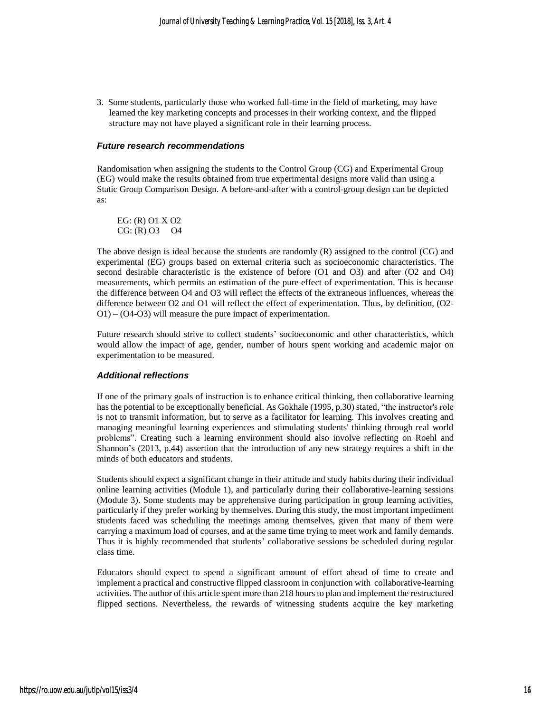3. Some students, particularly those who worked full-time in the field of marketing, may have learned the key marketing concepts and processes in their working context, and the flipped structure may not have played a significant role in their learning process.

#### *Future research recommendations*

Randomisation when assigning the students to the Control Group (CG) and Experimental Group (EG) would make the results obtained from true experimental designs more valid than using a Static Group Comparison Design. A before-and-after with a control-group design can be depicted as:

 EG: (R) O1 X O2 CG: (R) O3 O4

The above design is ideal because the students are randomly (R) assigned to the control (CG) and experimental (EG) groups based on external criteria such as socioeconomic characteristics. The second desirable characteristic is the existence of before (O1 and O3) and after (O2 and O4) measurements, which permits an estimation of the pure effect of experimentation. This is because the difference between O4 and O3 will reflect the effects of the extraneous influences, whereas the difference between O2 and O1 will reflect the effect of experimentation. Thus, by definition, (O2- O1) – (O4-O3) will measure the pure impact of experimentation.

Future research should strive to collect students' socioeconomic and other characteristics, which would allow the impact of age, gender, number of hours spent working and academic major on experimentation to be measured.

#### *Additional reflections*

If one of the primary goals of instruction is to enhance critical thinking, then collaborative learning has the potential to be exceptionally beneficial. As Gokhale (1995, p.30) stated, "the instructor's role is not to transmit information, but to serve as a facilitator for learning. This involves creating and managing meaningful learning experiences and stimulating students' thinking through real world problems". Creating such a learning environment should also involve reflecting on Roehl and Shannon's (2013, p.44) assertion that the introduction of any new strategy requires a shift in the minds of both educators and students.

Students should expect a significant change in their attitude and study habits during their individual online learning activities (Module 1), and particularly during their collaborative-learning sessions (Module 3). Some students may be apprehensive during participation in group learning activities, particularly if they prefer working by themselves. During this study, the most important impediment students faced was scheduling the meetings among themselves, given that many of them were carrying a maximum load of courses, and at the same time trying to meet work and family demands. Thus it is highly recommended that students' collaborative sessions be scheduled during regular class time.

Educators should expect to spend a significant amount of effort ahead of time to create and implement a practical and constructive flipped classroom in conjunction with collaborative-learning activities. The author of this article spent more than 218 hours to plan and implement the restructured flipped sections. Nevertheless, the rewards of witnessing students acquire the key marketing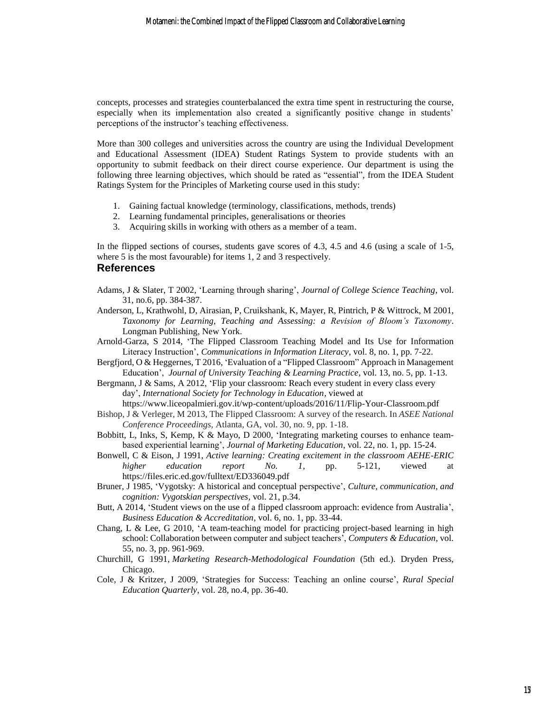concepts, processes and strategies counterbalanced the extra time spent in restructuring the course, especially when its implementation also created a significantly positive change in students' perceptions of the instructor's teaching effectiveness.

More than 300 colleges and universities across the country are using the Individual Development and Educational Assessment (IDEA) Student Ratings System to provide students with an opportunity to submit feedback on their direct course experience. Our department is using the following three learning objectives, which should be rated as "essential", from the IDEA Student Ratings System for the Principles of Marketing course used in this study:

- 1. Gaining factual knowledge (terminology, classifications, methods, trends)
- 2. Learning fundamental principles, generalisations or theories
- 3. Acquiring skills in working with others as a member of a team.

In the flipped sections of courses, students gave scores of 4.3, 4.5 and 4.6 (using a scale of 1-5, where 5 is the most favourable) for items 1, 2 and 3 respectively.

#### **References**

- Adams, J & Slater, T 2002, 'Learning through sharing', *Journal of College Science Teaching*, vol. 31, no.6, pp. 384-387.
- Anderson, L, Krathwohl, D, Airasian, P, Cruikshank, K, Mayer, R, Pintrich, P & Wittrock, M 2001, *Taxonomy for Learning, Teaching and Assessing: a Revision of Bloom's Taxonomy*. Longman Publishing, New York.
- Arnold-Garza, S 2014, 'The Flipped Classroom Teaching Model and Its Use for Information Literacy Instruction', *Communications in Information Literacy*, vol. 8, no. 1, pp. 7-22.
- Bergfjord, O & Heggernes, T 2016, 'Evaluation of a "Flipped Classroom" Approach in Management Education', *Journal of University Teaching & Learning Practice*, vol. 13, no. 5, pp. 1-13.
- Bergmann, J & Sams, A 2012, 'Flip your classroom: Reach every student in every class every day', *International Society for Technology in Education,* viewed at https://www.liceopalmieri.gov.it/wp-content/uploads/2016/11/Flip-Your-Classroom.pdf
- Bishop, J & Verleger, M 2013, The Flipped Classroom: A survey of the research. In *ASEE National Conference Proceedings,* Atlanta, GA, vol. 30, no. 9, pp. 1-18.
- Bobbitt, L, Inks, S, Kemp, K & Mayo, D 2000, 'Integrating marketing courses to enhance teambased experiential learning', *Journal of Marketing Education*, vol. 22, no. 1, pp. 15-24.
- Bonwell, C & Eison, J 1991, *Active learning: Creating excitement in the classroom AEHE-ERIC higher education report No. 1*, pp. 5-121, viewed at https://files.eric.ed.gov/fulltext/ED336049.pdf
- Bruner, J 1985, 'Vygotsky: A historical and conceptual perspective', *Culture, communication, and cognition: Vygotskian perspectives*, vol. 21, p.34.
- Butt, A 2014, 'Student views on the use of a flipped classroom approach: evidence from Australia', *Business Education & Accreditation*, vol. 6, no. 1, pp. 33-44.
- Chang, L & Lee, G 2010, 'A team-teaching model for practicing project-based learning in high school: Collaboration between computer and subject teachers', *Computers & Education*, vol. 55, no. 3, pp. 961-969.
- Churchill, G 1991, *Marketing Research-Methodological Foundation* (5th ed.). Dryden Press, Chicago.
- Cole, J & Kritzer, J 2009, 'Strategies for Success: Teaching an online course', *Rural Special Education Quarterly*, vol. 28, no.4, pp. 36-40.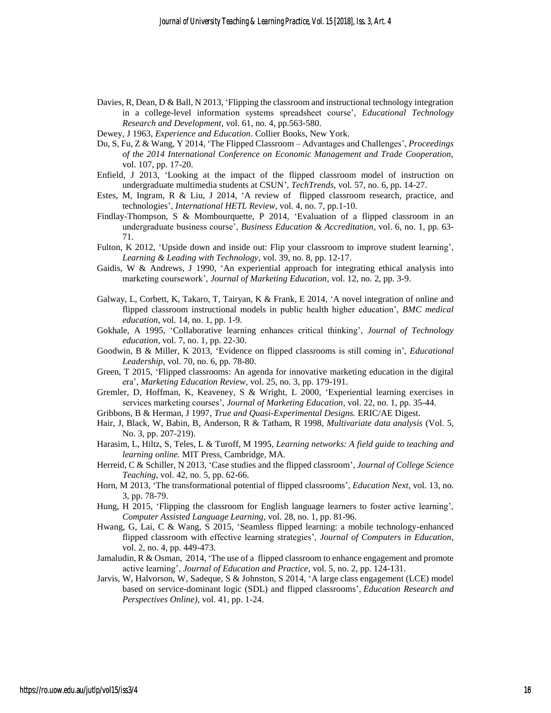- Davies, R, Dean, D & Ball, N 2013, 'Flipping the classroom and instructional technology integration in a college-level information systems spreadsheet course', *Educational Technology Research and Development*, vol. 61, no. 4, pp.563-580.
- Dewey, J 1963, *Experience and Education*. Collier Books, New York.
- Du, S, Fu, Z & Wang, Y 2014, 'The Flipped Classroom Advantages and Challenges', *Proceedings of the 2014 International Conference on Economic Management and Trade Cooperation,*  vol. 107, pp. 17-20.
- Enfield, J 2013, 'Looking at the impact of the flipped classroom model of instruction on undergraduate multimedia students at CSUN', *TechTrends*, vol. 57, no. 6, pp. 14-27.
- Estes, M, Ingram, R & Liu, J 2014, 'A review of flipped classroom research, practice, and technologies', *International HETL Review*, vol. 4, no. 7, pp.1-10.
- Findlay-Thompson, S & Mombourquette, P 2014, 'Evaluation of a flipped classroom in an undergraduate business course', *Business Education & Accreditation*, vol. 6, no. 1*,* pp. 63- 71.
- Fulton, K 2012, 'Upside down and inside out: Flip your classroom to improve student learning', *Learning & Leading with Technology*, vol. 39, no. 8, pp. 12-17.
- Gaidis, W & Andrews, J 1990, 'An experiential approach for integrating ethical analysis into marketing coursework', *Journal of Marketing Education*, vol. 12, no. 2, pp. 3-9.
- Galway, L, Corbett, K, Takaro, T, Tairyan, K & Frank, E 2014, 'A novel integration of online and flipped classroom instructional models in public health higher education', *BMC medical education*, vol. 14, no. 1, pp. 1-9.
- Gokhale, A 1995, 'Collaborative learning enhances critical thinking', *Journal of Technology education*, vol. 7, no. 1, pp. 22-30.
- Goodwin, B & Miller, K 2013, 'Evidence on flipped classrooms is still coming in', *Educational Leadership*, vol. 70, no. 6, pp. 78-80.
- Green, T 2015, 'Flipped classrooms: An agenda for innovative marketing education in the digital era', *Marketing Education Review*, vol. 25, no. 3, pp. 179-191.
- Gremler, D, Hoffman, K, Keaveney, S & Wright, L 2000, 'Experiential learning exercises in services marketing courses', *Journal of Marketing Education*, vol. 22, no. 1, pp. 35-44.
- Gribbons, B & Herman, J 1997, *True and Quasi-Experimental Designs.* ERIC/AE Digest.
- Hair, J, Black, W, Babin, B, Anderson, R & Tatham, R 1998, *Multivariate data analysis* (Vol. 5, No. 3, pp. 207-219).
- Harasim, L, Hiltz, S, Teles, L & Turoff, M 1995, *Learning networks: A field guide to teaching and learning online.* MIT Press, Cambridge, MA.
- Herreid, C & Schiller, N 2013, 'Case studies and the flipped classroom', *Journal of College Science Teaching*, vol. 42, no. 5, pp. 62-66.
- Horn, M 2013, 'The transformational potential of flipped classrooms', *Education Next*, vol. 13, no. 3, pp. 78-79.
- Hung, H 2015, 'Flipping the classroom for English language learners to foster active learning', *Computer Assisted Language Learning*, vol. 28, no. 1, pp. 81-96.
- Hwang, G, Lai, C & Wang, S 2015, 'Seamless flipped learning: a mobile technology-enhanced flipped classroom with effective learning strategies', *Journal of Computers in Education*, vol. 2, no. 4, pp. 449-473.
- Jamaludin, R & Osman, 2014, 'The use of a flipped classroom to enhance engagement and promote active learning', *Journal of Education and Practice*, vol. 5, no. 2*,* pp. 124-131.
- Jarvis, W, Halvorson, W, Sadeque, S & Johnston, S 2014, 'A large class engagement (LCE) model based on service-dominant logic (SDL) and flipped classrooms', *Education Research and Perspectives Online)*, vol. 41, pp. 1-24.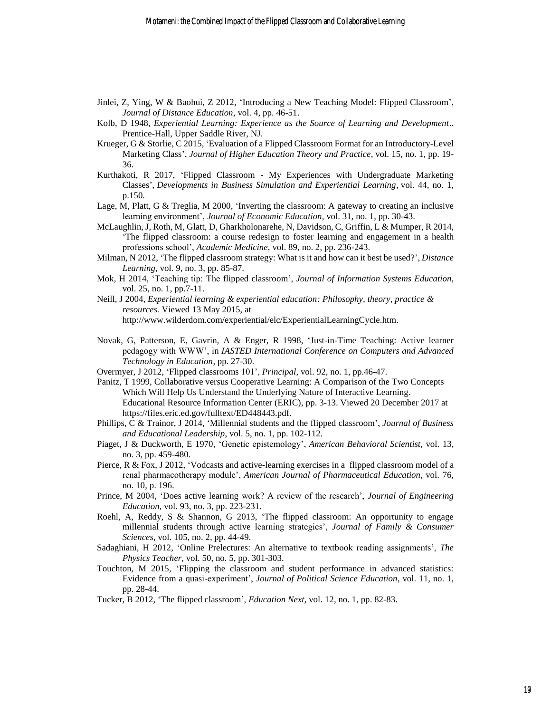- Jinlei, Z, Ying, W & Baohui, Z 2012, 'Introducing a New Teaching Model: Flipped Classroom', *Journal of Distance Education*, vol. 4, pp. 46-51.
- Kolb, D 1948, *Experiential Learning: Experience as the Source of Learning and Development*.. Prentice-Hall, Upper Saddle River, NJ.
- Krueger, G & Storlie, C 2015, 'Evaluation of a Flipped Classroom Format for an Introductory-Level Marketing Class', *Journal of Higher Education Theory and Practice*, vol. 15, no. 1, pp. 19- 36.
- Kurthakoti, R 2017, 'Flipped Classroom My Experiences with Undergraduate Marketing Classes', *Developments in Business Simulation and Experiential Learning*, vol. 44, no. 1, p.150.
- Lage, M, Platt, G & Treglia, M 2000, 'Inverting the classroom: A gateway to creating an inclusive learning environment', *Journal of Economic Education*, vol. 31, no. 1, pp. 30-43.
- McLaughlin, J, Roth, M, Glatt, D, Gharkholonarehe, N, Davidson, C, Griffin, L & Mumper, R 2014, 'The flipped classroom: a course redesign to foster learning and engagement in a health professions school', *Academic Medicine*, vol. 89, no. 2, pp. 236-243.
- Milman, N 2012, 'The flipped classroom strategy: What is it and how can it best be used?', *Distance Learning*, vol. 9, no. 3, pp. 85-87.
- Mok, H 2014, 'Teaching tip: The flipped classroom', *Journal of Information Systems Education*, vol. 25, no. 1, pp.7-11.
- Neill, J 2004, *Experiential learning & experiential education: Philosophy, theory, practice & resources.* Viewed 13 May 2015, at http://www.wilderdom.com/experiential/elc/ExperientialLearningCycle.htm.
- Novak, G, Patterson, E, Gavrin, A & Enger, R 1998, 'Just-in-Time Teaching: Active learner pedagogy with WWW', in *IASTED International Conference on Computers and Advanced Technology in Education*, pp. 27-30.
- Overmyer, J 2012, 'Flipped classrooms 101', *Principal*, vol. 92, no. 1, pp.46-47.
- Panitz, T 1999, Collaborative versus Cooperative Learning: A Comparison of the Two Concepts Which Will Help Us Understand the Underlying Nature of Interactive Learning. Educational Resource Information Center (ERIC), pp. 3-13. Viewed 20 December 2017 at https://files.eric.ed.gov/fulltext/ED448443.pdf.
- Phillips, C & Trainor, J 2014, 'Millennial students and the flipped classroom', *Journal of Business and Educational Leadership*, vol. 5, no. 1, pp. 102-112.
- Piaget, J & Duckworth, E 1970, 'Genetic epistemology', *American Behavioral Scientist*, vol. 13, no. 3, pp. 459-480.
- Pierce, R & Fox, J 2012, 'Vodcasts and active-learning exercises in a flipped classroom model of a renal pharmacotherapy module', *American Journal of Pharmaceutical Education*, vol. 76, no. 10, p. 196.
- Prince, M 2004, 'Does active learning work? A review of the research', *Journal of Engineering Education*, vol. 93, no. 3, pp. 223-231.
- Roehl, A, Reddy, S & Shannon, G 2013, 'The flipped classroom: An opportunity to engage millennial students through active learning strategies', *Journal of Family & Consumer Sciences*, vol. 105, no. 2*,* pp. 44-49.
- Sadaghiani, H 2012, 'Online Prelectures: An alternative to textbook reading assignments', *The Physics Teacher*, vol. 50, no. 5, pp. 301-303.
- Touchton, M 2015, 'Flipping the classroom and student performance in advanced statistics: Evidence from a quasi-experiment', *Journal of Political Science Education*, vol. 11, no. 1, pp. 28-44.
- Tucker, B 2012, 'The flipped classroom', *Education Next*, vol. 12, no. 1, pp. 82-83.